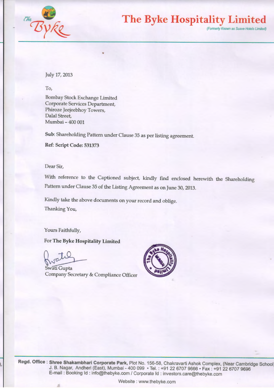

**The Byke Hospitality Limited** 

(Formerly Known as Suave Hotels Limited)

July 17, 2013

To,

Bombay Stock Exchange Limited Corporate Services Department, Phiroze Jeejeebhoy Towers, Dalal Street, Mumbai - 400 001

Sub: Shareholding Pattern under Clause 35 as per listing agreement.

Ref: Script Code: 531373

Dear Sir,

With reference to the Captioned subject, kindly find enclosed herewith the Shareholding Pattern under Clause 35 of the Listing Agreement as on June 30, 2013.

Kindly take the above documents on your record and oblige. Thanking You,

Yours Faithfully,

For The Byke Hospitality Limited

),

For The Byke Hospitality Limited<br>
Swati Gupta<br>
Company Secretary & Compliance Off Company Secretary & Compliance Officer



**Regd. Office : Shree Shakambhari Corporate Park,** Plot No. 156-58, Chakravarti Ashok Complex, (Near Cambridge School: J. B. Nagar, Andheri (East), Mumbai - 400 099 • Tel. : +91 22 6707 9666 • Fax : +91 22 6707 9696 E-mail : Booking ld : info@thebyke.com I Corporate ld : investors.care@thebyke.com

Website : www.thebyke.com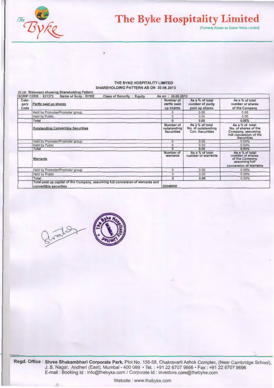

## **The Byke Hospitality Limited**

(Formerly Known as Suave Hotels Limited)

## THE BYKE HOSPITALITY LIMITED SHAREHOLDING PATTERN AS ON 30.06.2013

|                       | (I) (a) Statement showing Shareholding Pattern                                                           |                                               |                                                                 |                                                                                                             |
|-----------------------|----------------------------------------------------------------------------------------------------------|-----------------------------------------------|-----------------------------------------------------------------|-------------------------------------------------------------------------------------------------------------|
|                       | <b>SCRIP CODE: 531373</b><br>Name of Scrip : BYKE<br><b>Class of Security : Equity</b>                   | As on: 30.06.2013                             |                                                                 |                                                                                                             |
| Cate-<br>gory<br>Code | Partly paid up shares                                                                                    | Number of<br>partly paid<br>up shares         | As a % of total<br>number of partly<br>paid up shares           | As a % of total<br>number of shares<br>of the Company                                                       |
|                       | Held by Promoter/Promoter group                                                                          | 0                                             | 0.00                                                            | 0.00                                                                                                        |
|                       | <b>Held by Public</b>                                                                                    | $\Omega$                                      | 0.00                                                            | 0.00                                                                                                        |
|                       | Total                                                                                                    | $\Omega$                                      | 0.00                                                            | 0.00%                                                                                                       |
|                       | <b>Outstanding Convertible Securities</b>                                                                | Number of<br>outstanding<br><b>Securities</b> | As a % of total<br>No. of outstanding<br><b>Con. Securities</b> | As a % of total<br>No. of shares of the<br>Company, assuming<br>full conversion of the<br><b>Securities</b> |
|                       | Held by Promoter/Promoter group                                                                          | $\overline{0}$                                | 0.00                                                            | $0.00\%$                                                                                                    |
|                       | <b>Held by Public</b>                                                                                    | 0                                             | 0.00                                                            | $0.00\%$                                                                                                    |
|                       | Total                                                                                                    | o                                             | 0.00                                                            | $0.00\%$                                                                                                    |
|                       | <b>Warrants</b>                                                                                          | Number of<br>warrants                         | As a % of total<br>number of warrants                           | As a % of total<br>number of shares<br>of the Company<br>assuming full                                      |
|                       |                                                                                                          |                                               |                                                                 | conversion of warrants                                                                                      |
|                       | Held by Promoter/Promoter group                                                                          | $\Omega$                                      | 0.00                                                            | $0.00\%$                                                                                                    |
|                       | <b>Held by Public</b>                                                                                    | $\mathbf{O}$                                  | 0.00                                                            | 0.00%                                                                                                       |
|                       | Total                                                                                                    | 0                                             | 0.00                                                            | $0.00\%$                                                                                                    |
|                       | Total paid up capital of the Company, assuming full conversion of warrants and<br>convertible securities | 20048900                                      |                                                                 |                                                                                                             |





**Regd. Office : Shree Shakambhari Corporate Park,** Plot No. 156-58, Chakravarti Ashok Complex, (Near Cambridge School), J. B. Nagar, Andheri (East), Mumbai- 400 099 • Tel. : +91 22 6707 9666 • Fax: +91 22 6707 9696 E-mail : Booking ld : info@thebyke.com I Corporate ld : investors.care@thebyke.com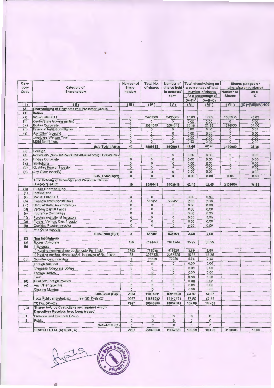| Cate-<br>gory           | Category of                                                                | Number of<br><b>Total No.</b><br>Number of<br>Share-<br>of shares<br>shares held<br>holders<br>in demated |                                | <b>Total shareholding as</b><br>a percentage of total<br>number of shares |               | Shares pledged or<br>otherwise encumbered<br>Number of |                         |                      |      |
|-------------------------|----------------------------------------------------------------------------|-----------------------------------------------------------------------------------------------------------|--------------------------------|---------------------------------------------------------------------------|---------------|--------------------------------------------------------|-------------------------|----------------------|------|
| Code                    | <b>Shareholders</b>                                                        |                                                                                                           |                                | form                                                                      |               |                                                        |                         |                      | As a |
|                         |                                                                            |                                                                                                           |                                |                                                                           |               | As a percentage of                                     | <b>Shares</b>           | ℅                    |      |
|                         |                                                                            |                                                                                                           |                                |                                                                           | $(A+B)^1$     | $(A+B+C)$                                              |                         |                      |      |
| (1)                     | (11)                                                                       | (III)                                                                                                     | (IV)                           | (V)                                                                       | (VI)          | (VII)                                                  | (VIII)                  | (IX)=(VIII)/(IV)*100 |      |
| (A)                     | <b>Shareholding of Promoter and Promoter Group</b>                         |                                                                                                           |                                |                                                                           |               |                                                        |                         |                      |      |
| (1)                     | Indian                                                                     |                                                                                                           |                                |                                                                           |               |                                                        |                         |                      |      |
| (a)                     | Individuals/H.U.F                                                          | $\overline{7}$                                                                                            | 3425369                        | 3425369                                                                   | 17.09         | 17.09                                                  | 1563000                 | 45.63                |      |
| (b)                     | Cental/State Government(s)                                                 | $\circ$                                                                                                   | $\circ$                        | $\circ$                                                                   | 0.00          | 0.00                                                   | $\circ$                 | 0.00                 |      |
| (c)                     | <b>Bodies Corporate</b><br><b>Financial Institutions/Banks</b>             | 3<br>$\overline{0}$                                                                                       | 5084549<br>$\mathbf 0$         | 5084549<br>0                                                              | 25.36<br>0.00 | 25.36<br>0.00                                          | 1576000<br>$\mathbf{0}$ | 31.00<br>0.00        |      |
| (d)<br>(e)              | Any Other (specify)                                                        | $\mathbf 0$                                                                                               | $\circ$                        | $\mathsf{O}\xspace$                                                       | 0.00          |                                                        | $\circ$                 |                      |      |
|                         | <b>Employee Welfare Trust</b>                                              | $\mathbf 0$                                                                                               | $\mathbf{O}$                   | $\circ$                                                                   | 0.00          | 0.00<br>0.00                                           | $\circ$                 | 0.00<br>0.00         |      |
|                         | <b>M&amp;M Benfit Trust</b>                                                | $\mathbf{0}$                                                                                              | $\circ$                        | $\mathbf 0$                                                               | 0.00          | 0.00                                                   | $\mathbf 0$             | 0.00                 |      |
|                         |                                                                            |                                                                                                           |                                |                                                                           |               |                                                        |                         |                      |      |
|                         | Sub-Total (A)(1)                                                           | 10                                                                                                        | 8509918                        | 8509918                                                                   | 42.45         | 42.45                                                  | 3139000                 | 36.89                |      |
| (2)                     | Foreign                                                                    |                                                                                                           |                                |                                                                           |               |                                                        |                         |                      |      |
| (a)                     | Individuals (Non-Residents Individuals/Foreign Individuals)                | $\circ$                                                                                                   | $\mathbf 0$                    | $\circ$                                                                   | 0.00          | 0.00                                                   | $\circ$                 | 0.00                 |      |
| (b)                     | <b>Bodies Corporate</b>                                                    | $\bf 0$                                                                                                   | $\mathbf 0$                    | $\mathsf{O}\xspace$                                                       | 0.00          | 0.00                                                   | $\mathbf{0}$            | 0.00                 |      |
| (c)                     | Institutions                                                               | $\circ$                                                                                                   | $\mathbf 0$                    | $\pmb{0}$                                                                 | 0.00          | 0.00                                                   | $\mathsf{O}\xspace$     | 0.00                 |      |
| (d)                     | <b>Qualified Foreign Investor</b>                                          | $\overline{0}$                                                                                            | 0                              | $\circ$                                                                   | 0.00          | 0.00                                                   | $\circ$                 | 0.00                 |      |
| (e)                     | Any Other (specify)                                                        | $\mathsf 0$                                                                                               | $\mathsf{O}\xspace$            | $\circ$                                                                   | 0.00          | 0.00                                                   | $\circ$                 | 0.00                 |      |
|                         | Sub_Total (A)(2)                                                           | $\bf{0}$                                                                                                  | $\bf{0}$                       | $\bf{0}$                                                                  | 0.00          | 0.00                                                   | 0.00                    | 0.00                 |      |
|                         | <b>Total holding of Promoter and Promoter Group</b><br>$(A)=(A)(1)+(A)(2)$ | 10                                                                                                        | 8509918                        | 8509918                                                                   | 42.45         | 42.45                                                  | 3139000                 | 36.89                |      |
| (B)                     | <b>Public Shareholding</b>                                                 |                                                                                                           |                                |                                                                           |               |                                                        |                         |                      |      |
| (1)                     | Institutions                                                               |                                                                                                           |                                |                                                                           |               |                                                        |                         |                      |      |
| (a)                     | Mutual Fund/UTI                                                            | $\circ$                                                                                                   | $\overline{0}$                 | $\circ$                                                                   | 0.00          | 0.00                                                   |                         |                      |      |
| (b)                     | <b>Financial Institutions/Banks</b>                                        | $\mathbf{3}$                                                                                              | 537451                         | 537451                                                                    | 2.68          | 2.68                                                   |                         |                      |      |
| (c)                     | Central/State Government(s)<br>Venture Capital Funds                       | $\mathsf{O}\xspace$<br>$\mathsf{O}\xspace$                                                                | $\circ$<br>$\mathsf{O}\xspace$ | $\mathbf 0$<br>$\mathsf{O}\xspace$                                        | 0.00<br>0.00  | 0.00<br>0.00                                           |                         |                      |      |
| (d)                     | <b>Insurance Companies</b>                                                 | $\mathbf 0$                                                                                               | $\mathsf{O}$                   | $\circ$                                                                   | 0.00          | 0.00                                                   |                         |                      |      |
| (e)<br>(f)              | Foreign Institutional Investors                                            | $\circ$                                                                                                   | $\circ$                        | $\mathsf{O}\xspace$                                                       | 0.00          | 0.00                                                   |                         |                      |      |
| (g)                     | Foreign Venture Cap. Investor                                              | $\overline{0}$                                                                                            | $\mathsf{O}\xspace$            | $\boldsymbol{0}$                                                          | 0.00          | 0.00                                                   |                         |                      |      |
| (h)                     | Qualified Foreign Investor                                                 | $\circ$                                                                                                   | $\overline{0}$                 | $\overline{0}$                                                            | 0.00          | 0.00                                                   |                         |                      |      |
| (i)                     | Any Other (specify)                                                        |                                                                                                           |                                |                                                                           |               |                                                        |                         |                      |      |
|                         | Sub-Total (B)(1)                                                           | $\overline{3}$                                                                                            | 537451                         | 537451                                                                    | 2.68          | 2.68                                                   |                         |                      |      |
| (2)                     | <b>Non Institutions</b>                                                    |                                                                                                           |                                |                                                                           |               |                                                        |                         |                      |      |
| (a)                     | <b>Bodies Corporate</b>                                                    | 150                                                                                                       | 7074644                        | 7071244                                                                   | 35.29         | 35.29                                                  |                         |                      |      |
| (b)                     | Individuals                                                                |                                                                                                           |                                |                                                                           |               |                                                        |                         |                      |      |
|                         | i) Holding nominal share capital upto Rs. 1 lakh                           | 2793                                                                                                      | 779536                         | 431525                                                                    | 3.89          | 3.89                                                   |                         |                      |      |
|                         | ii) Holding nominal share capital in excess of Rs. 1 lakh                  | 38                                                                                                        | 3077325                        | 3037525                                                                   | 15.35         | 15.35                                                  |                         |                      |      |
| (c)                     | Non-Resident Individual                                                    | 3                                                                                                         | 70026                          | 70026                                                                     | 0.35          | 0.35                                                   |                         |                      |      |
|                         | <b>Foreigh National</b>                                                    | $\circ$                                                                                                   | $\mathsf{O}\xspace$            | $\mathsf{O}\xspace$                                                       | 0.00          | 0.00                                                   |                         |                      |      |
|                         | Overseas Corporate Bodies                                                  | $\circ$                                                                                                   | $\mathsf 0$                    | $\mathsf{O}\xspace$                                                       | 0.00          | 0.00                                                   |                         |                      |      |
|                         |                                                                            |                                                                                                           |                                | $\mathsf{O}\xspace$                                                       | 0.00          | 0.00                                                   |                         |                      |      |
|                         | <b>Foreign Bodies</b>                                                      | $\circ$                                                                                                   | $\circ$                        |                                                                           |               |                                                        |                         |                      |      |
|                         | Trust<br><b>Qualified Foreign Investor</b>                                 | $\mathbf 0$<br>$\mathsf 0$                                                                                | $\circ$<br>0                   | $\mathbf{0}$<br>$\mathsf 0$                                               | 0.00<br>0.00  | 0.00<br>0.00                                           |                         |                      |      |
| (d)                     | Any Other (specify)                                                        | $\overline{0}$                                                                                            | 0                              | $\overline{0}$                                                            | 0.00          | 0.00                                                   |                         |                      |      |
| (e)                     |                                                                            |                                                                                                           |                                | $\circ$                                                                   |               | 0.00                                                   |                         |                      |      |
|                         | <b>Clearing Member</b>                                                     | $\circ$                                                                                                   | $\mathsf{O}\xspace$            |                                                                           | 0.00          |                                                        |                         |                      |      |
|                         | Sub-Total (B)(2)                                                           | 2984                                                                                                      | 11001531                       | 10610320                                                                  | 54.87         | 54.87                                                  |                         |                      |      |
|                         | <b>Total Public shareholding</b><br>$(B)=(B)(1)+(B)(2)$                    | 2987                                                                                                      | 11538982                       | 11147771                                                                  | 57.55         | 57.55                                                  |                         |                      |      |
|                         | TOTAL $(A)+(B)$                                                            | 2997                                                                                                      | 20048900                       | 19657689                                                                  | 100.00        | 100.00                                                 |                         |                      |      |
| (C)                     | Shares held by Custodians and against which                                |                                                                                                           |                                |                                                                           |               |                                                        |                         |                      |      |
|                         | Depository Receipts have been issued                                       |                                                                                                           |                                |                                                                           |               |                                                        |                         |                      |      |
| $\mathbf{1}$            | Promoter and Promoter Group                                                | $\mathbf{0}$                                                                                              | $\circ$                        | $\circ$                                                                   | $\circ$       | $\circ$                                                |                         |                      |      |
| $\overline{\mathbf{2}}$ | Public                                                                     | $\mathbf 0$                                                                                               | 0                              | $\mathbf 0$                                                               | $\circ$       | $\circ$                                                |                         |                      |      |
|                         | Sub-Total (C)                                                              | $\circ$                                                                                                   | $\circ$                        | $\circ$                                                                   | $\circ$       | $\mathsf{O}$                                           |                         |                      |      |
|                         | GRAND TOTAL (A)+(B)+(C)                                                    | 2997                                                                                                      | 20048900                       | 19657689                                                                  | 100.00        | 100.00                                                 | 3139000                 | 15.66                |      |

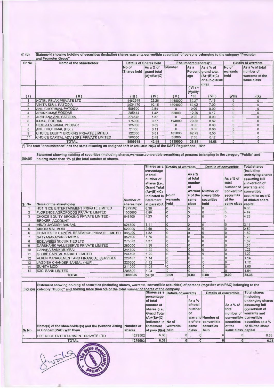(I) (b) Statement showing holding of securities (1ncluding shares,warrants,convertible securities) of persons belonging to the category "Promoter and Promoter Group"

| Sr.No.         | Name of the shareholder                 |                             | Details of Shares held                    |              | Encumbered shares(*)             |                                                                              |                           | <b>Details of warrants</b>                                    |
|----------------|-----------------------------------------|-----------------------------|-------------------------------------------|--------------|----------------------------------|------------------------------------------------------------------------------|---------------------------|---------------------------------------------------------------|
|                |                                         | No of<br><b>Shares held</b> | As a % of<br>grand total<br>$(A)+(B)+(C)$ | Number       | As a<br>age                      | As a % of<br>Percent grand total<br>$(A)+(B)+(C)$<br>of sub-clause<br>(1)(a) | No of<br>warrants<br>held | As a % of total<br>number of<br>warrants of the<br>same class |
| (1)            | (H)                                     | $(\mathbb{H})$              | (IV)                                      | (V)          | $(VI) =$<br>$(V)/(III)^*$<br>100 | (VII)                                                                        | (VIII)                    | (IX)                                                          |
| $\mathbf{1}$   | HOTEL RELAX PRIVATE LTD                 | 4462549                     | 22.26                                     | 1440000      | 32.27                            | 7.18                                                                         | $\mathbf{0}$              | $\mathbf{0}$                                                  |
| $\overline{2}$ | <b>VINITA SUNIL PATODIA</b>             | 2034170                     | 10.15                                     | 1404000      | 69.02                            | 7.00                                                                         | $\Omega$                  | $\circ$                                                       |
| 3              | ANIL CHOTHMAL PATODIA                   | 509500                      | 2.54                                      | $\Omega$     | 0.00                             | 0.00                                                                         | $\mathbf{0}$              | $\mathbf{0}$                                                  |
| $\overline{4}$ | <b>ARUNKUMAR PODDAR</b>                 | 285444                      | 1.42                                      | 35000        | 12.26                            | 0.17                                                                         | $\mathbf{0}$              | $\overline{0}$                                                |
| 5              | <b>ARCHANA ANIL PATODIA</b>             | 274575                      | 1.37                                      | $\mathbf{0}$ | 0.00                             | 0.00                                                                         | $\Omega$                  | $\mathbf{0}$                                                  |
| 6              | <b>KAMAL PODDAR</b>                     | 175000                      | 0.87                                      | 124000       | 70.86                            | 0.62                                                                         | $\mathbf{O}$              | $\circ$                                                       |
|                | <b>HEMLATA KAMAL PODDAR</b>             | 125000                      | 0.62                                      | $\circ$      | 0.00                             | 0.00                                                                         | $\Omega$                  | $\mathbf{0}$                                                  |
| 8              | ANIL CHOTHMAL (HUF)                     | 21680                       | 0.11                                      | $\circ$      | 0.00                             | 0.00                                                                         | $\Omega$                  | $\overline{0}$                                                |
| 9              | CHOICE EQUITY BROKING PRIVATE LIMITED   | 122000                      | 0.61                                      | 101000       | 82.79                            | 0.50                                                                         | $\Omega$                  | $\mathbf{0}$                                                  |
| 10             | CHOICE CAPITAL ADVISORS PRIVATE LIMITED | 500000                      | 2.49                                      | 35000        | 7.00                             | 0.17                                                                         | $\mathbf{0}$              | $\mathbf{0}$                                                  |
|                | <b>TOTAL</b>                            | 8509918                     | 42.45                                     | 3139000      | 36.89                            | 15.66                                                                        | $\circ$                   | $\bf{0}$                                                      |

(\*) The term "encumbrance" has the same meaning as assigned to it in refulatin 28(3) of the SAST Regulations , 2011

Statement showing holding of securities (including shares,warrants,convertible securities) of persons belonging to the category "Public" and  $(l)(c)(i)$  holding more than 1% of the total number of shares.

|                |                                                                  |             | Shares as a                                                                                                                           | <b>Details of warrants</b> |                                              | <b>Details of convertible</b>                           |                                                         | <b>Total shares</b>                                                                                                                                   |
|----------------|------------------------------------------------------------------|-------------|---------------------------------------------------------------------------------------------------------------------------------------|----------------------------|----------------------------------------------|---------------------------------------------------------|---------------------------------------------------------|-------------------------------------------------------------------------------------------------------------------------------------------------------|
|                |                                                                  | Number of   | percentage<br>of total<br>number of<br>shares {i.e.,<br><b>Grand Total</b><br>$(A)+(B)+(C)$<br>indicated in No of<br><b>Statement</b> | warrants                   | As $a\%$<br>of total<br>number<br>of<br>same | warrant Number of<br>s of the convertible<br>securities | As a % of<br>total<br>number of<br>securities<br>of the | (including<br>underlying shares<br>assuming full<br>conversion of<br>warrants and<br>convertible convertible<br>securities as a %<br>of diluted share |
| Sr.No.         | Name of the shareholder                                          | shares held | at para (I)(a) held                                                                                                                   |                            | class                                        | held                                                    | same class capital                                      |                                                                                                                                                       |
|                | HOT N ICE ENTERTAINMENT PRIVATE LIMITED                          | 1279502     | 6.38                                                                                                                                  |                            |                                              |                                                         |                                                         | 6.38                                                                                                                                                  |
| $\overline{2}$ | FLORENCE AGROFOODS PRIVATE LIMITED                               | 1000000     | 4.99                                                                                                                                  |                            |                                              |                                                         | $\overline{0}$                                          | 4.99                                                                                                                                                  |
| 3              | CHOICE EQUITY BROKING PRIVATE LIMITED -<br><b>BROKER ACCOUNT</b> | 848700      | 4.23                                                                                                                                  |                            |                                              |                                                         | $\Omega$                                                | 4.23                                                                                                                                                  |
| 4              | <b>VINAY JAGDISH BANSAL</b>                                      | 624500      | 3.11                                                                                                                                  | 0                          |                                              | ١o                                                      | O                                                       | 3.11                                                                                                                                                  |
| 5              | <b>KIRODI MAL MODI</b>                                           | 520000      | 2.59                                                                                                                                  | 0                          |                                              |                                                         | $\overline{O}$                                          | 2.59                                                                                                                                                  |
| 6              | CHARTERED CAPITAL RESEARCH PRIVATE LIMITED                       | 365000      | 1.82                                                                                                                                  | $\overline{0}$             |                                              | $\overline{0}$                                          | O                                                       | 1.82                                                                                                                                                  |
| $\overline{7}$ | SATYANARAYAN SHARMA                                              | 352100      | 1.76                                                                                                                                  | IO                         |                                              |                                                         | O                                                       | 1.76                                                                                                                                                  |
| 8              | <b>EDELWEISS SECURITIES LTD</b>                                  | 275573      | 1.37                                                                                                                                  | $\Omega$                   |                                              |                                                         | 0                                                       | 1.37                                                                                                                                                  |
| $\overline{9}$ | DARSHANIK VALUESERVE PRIVATE LIMITED                             | 260000      | 1.30                                                                                                                                  | $\mathbf{0}$               |                                              |                                                         |                                                         | 1.30                                                                                                                                                  |
| 10             | <b>CANARA BANK-MUMBAI</b>                                        | 244300      | 1.22                                                                                                                                  | lo                         | O                                            | $\Omega$                                                | $\sqrt{ }$                                              | 1.22                                                                                                                                                  |
| 11             | <b>GLOBE CAPITAL MARKET LIMITED</b>                              | 244193      | 1.22                                                                                                                                  | ١o                         |                                              |                                                         |                                                         | 1.22                                                                                                                                                  |
| 12             | ALKEN MANAGEMENT AND FINANCIAL SERVICES                          | 229187      | 1.14                                                                                                                                  | $\mathbf{0}$               |                                              |                                                         |                                                         | 1.14                                                                                                                                                  |
| 13             | JAGDISH CHANDER BANSAL (HUF).                                    | 225500      | 1.12                                                                                                                                  | $\circ$                    |                                              |                                                         |                                                         | 1.12                                                                                                                                                  |
| 14             | <b>SUNITA MODI</b>                                               | 211000      | 1.05                                                                                                                                  | I٥                         | $\Omega$                                     | $\mathbf{0}$                                            |                                                         | 1.05                                                                                                                                                  |
| 15             | <b>ICICI BANK LIMITED</b>                                        | 208500      | 1.04                                                                                                                                  | lo                         |                                              | $\mathbf 0$                                             |                                                         | 1.04                                                                                                                                                  |
|                | <b>TOTAL</b>                                                     | 6888055     | 34.36                                                                                                                                 | 0.00                       | 0.00                                         | 0.00                                                    | 0.00                                                    | 34.36                                                                                                                                                 |

|        | Statement showing holding of securities (including shares, warrants, convertible securities) of persons (together with PAC) belonging to the<br>(i)(c)(ii) category "Public" and holding more than 5% of the total number of shares of the company |               |                        |                                                           |                      |                      |                    |                                    |
|--------|----------------------------------------------------------------------------------------------------------------------------------------------------------------------------------------------------------------------------------------------------|---------------|------------------------|-----------------------------------------------------------|----------------------|----------------------|--------------------|------------------------------------|
|        |                                                                                                                                                                                                                                                    |               |                        | Shares as a Details of warrants<br>Details of convertible |                      |                      |                    | <b>Total shares</b>                |
|        |                                                                                                                                                                                                                                                    |               | percentage<br>of total |                                                           |                      |                      |                    | (including)                        |
|        |                                                                                                                                                                                                                                                    |               | number of              |                                                           | As a $%$<br>of total |                      | As a % of          | underlying shares<br>assuming full |
|        |                                                                                                                                                                                                                                                    |               | shares {i.e.,          |                                                           | number               |                      | total              | conversion of                      |
|        |                                                                                                                                                                                                                                                    |               | <b>Grand Total</b>     |                                                           | lof                  |                      |                    | number of warrants and             |
|        |                                                                                                                                                                                                                                                    |               | $(A)+(B)+(C)$          |                                                           |                      | warrant Number of    |                    | convertible convertible            |
|        |                                                                                                                                                                                                                                                    |               | indicated in No of     |                                                           |                      | s of the convertible | securities         | securities as a %                  |
|        | Name(s) of the shareholder(s) and the Persons Acting Number of                                                                                                                                                                                     |               | <b>Statement</b>       | warrants                                                  | same                 | <b>securities</b>    | of the             | of diluted share                   |
| Sr.No. | in Concert (PAC) with them                                                                                                                                                                                                                         | <b>shares</b> | $at para (l)(a)$ held  |                                                           | class                | held                 | same class capital |                                    |
|        | HOT N ICE ENTERTAINMENT PRIVATE LTD                                                                                                                                                                                                                | 1279502       | 6.38                   |                                                           |                      |                      |                    | 6.38                               |
|        | <b>TOTAL</b>                                                                                                                                                                                                                                       | 1279502       | 6.38                   |                                                           |                      |                      |                    | 6.38                               |